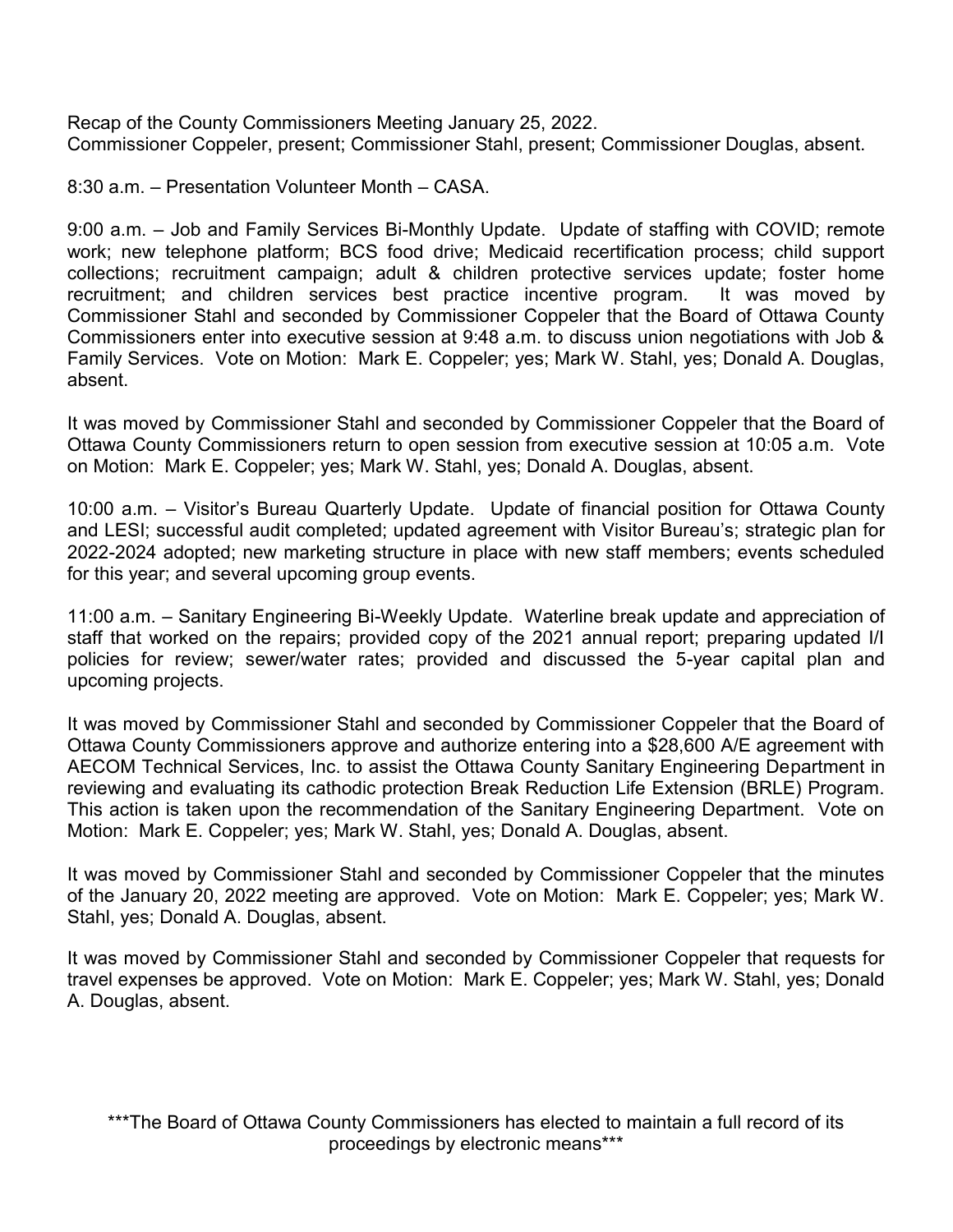Recap of the County Commissioners Meeting January 25, 2022. Commissioner Coppeler, present; Commissioner Stahl, present; Commissioner Douglas, absent.

8:30 a.m. – Presentation Volunteer Month – CASA.

9:00 a.m. – Job and Family Services Bi-Monthly Update. Update of staffing with COVID; remote work; new telephone platform; BCS food drive; Medicaid recertification process; child support collections; recruitment campaign; adult & children protective services update; foster home recruitment; and children services best practice incentive program. It was moved by Commissioner Stahl and seconded by Commissioner Coppeler that the Board of Ottawa County Commissioners enter into executive session at 9:48 a.m. to discuss union negotiations with Job & Family Services. Vote on Motion: Mark E. Coppeler; yes; Mark W. Stahl, yes; Donald A. Douglas, absent.

It was moved by Commissioner Stahl and seconded by Commissioner Coppeler that the Board of Ottawa County Commissioners return to open session from executive session at 10:05 a.m. Vote on Motion: Mark E. Coppeler; yes; Mark W. Stahl, yes; Donald A. Douglas, absent.

10:00 a.m. – Visitor's Bureau Quarterly Update. Update of financial position for Ottawa County and LESI; successful audit completed; updated agreement with Visitor Bureau's; strategic plan for 2022-2024 adopted; new marketing structure in place with new staff members; events scheduled for this year; and several upcoming group events.

11:00 a.m. – Sanitary Engineering Bi-Weekly Update. Waterline break update and appreciation of staff that worked on the repairs; provided copy of the 2021 annual report; preparing updated I/I policies for review; sewer/water rates; provided and discussed the 5-year capital plan and upcoming projects.

It was moved by Commissioner Stahl and seconded by Commissioner Coppeler that the Board of Ottawa County Commissioners approve and authorize entering into a \$28,600 A/E agreement with AECOM Technical Services, Inc. to assist the Ottawa County Sanitary Engineering Department in reviewing and evaluating its cathodic protection Break Reduction Life Extension (BRLE) Program. This action is taken upon the recommendation of the Sanitary Engineering Department. Vote on Motion: Mark E. Coppeler; yes; Mark W. Stahl, yes; Donald A. Douglas, absent.

It was moved by Commissioner Stahl and seconded by Commissioner Coppeler that the minutes of the January 20, 2022 meeting are approved. Vote on Motion: Mark E. Coppeler; yes; Mark W. Stahl, yes; Donald A. Douglas, absent.

It was moved by Commissioner Stahl and seconded by Commissioner Coppeler that requests for travel expenses be approved. Vote on Motion: Mark E. Coppeler; yes; Mark W. Stahl, yes; Donald A. Douglas, absent.

\*\*\*The Board of Ottawa County Commissioners has elected to maintain a full record of its proceedings by electronic means\*\*\*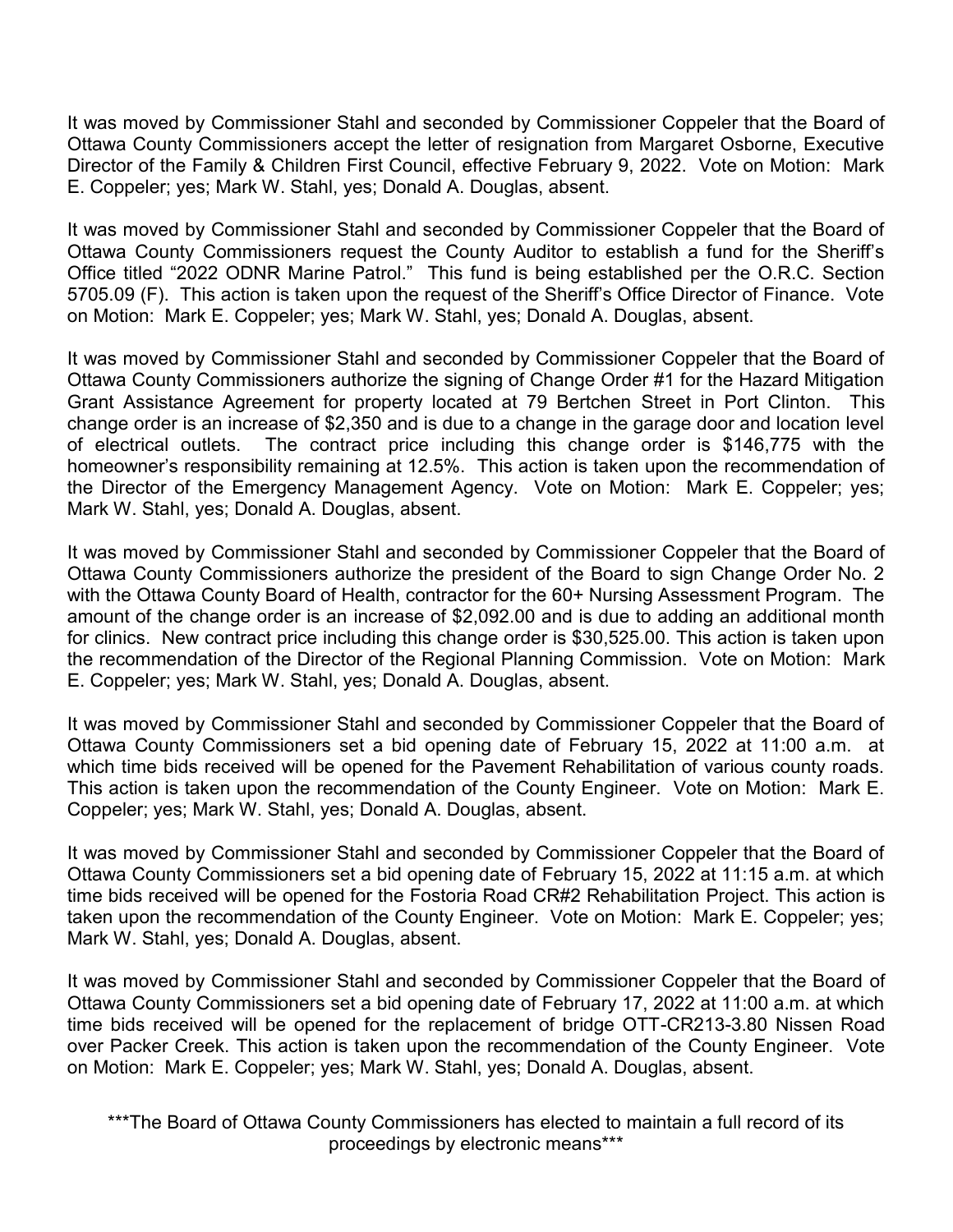It was moved by Commissioner Stahl and seconded by Commissioner Coppeler that the Board of Ottawa County Commissioners accept the letter of resignation from Margaret Osborne, Executive Director of the Family & Children First Council, effective February 9, 2022. Vote on Motion: Mark E. Coppeler; yes; Mark W. Stahl, yes; Donald A. Douglas, absent.

It was moved by Commissioner Stahl and seconded by Commissioner Coppeler that the Board of Ottawa County Commissioners request the County Auditor to establish a fund for the Sheriff's Office titled "2022 ODNR Marine Patrol." This fund is being established per the O.R.C. Section 5705.09 (F). This action is taken upon the request of the Sheriff's Office Director of Finance. Vote on Motion: Mark E. Coppeler; yes; Mark W. Stahl, yes; Donald A. Douglas, absent.

It was moved by Commissioner Stahl and seconded by Commissioner Coppeler that the Board of Ottawa County Commissioners authorize the signing of Change Order #1 for the Hazard Mitigation Grant Assistance Agreement for property located at 79 Bertchen Street in Port Clinton. This change order is an increase of \$2,350 and is due to a change in the garage door and location level of electrical outlets. The contract price including this change order is \$146,775 with the homeowner's responsibility remaining at 12.5%. This action is taken upon the recommendation of the Director of the Emergency Management Agency. Vote on Motion: Mark E. Coppeler; yes; Mark W. Stahl, yes; Donald A. Douglas, absent.

It was moved by Commissioner Stahl and seconded by Commissioner Coppeler that the Board of Ottawa County Commissioners authorize the president of the Board to sign Change Order No. 2 with the Ottawa County Board of Health, contractor for the 60+ Nursing Assessment Program. The amount of the change order is an increase of \$2,092.00 and is due to adding an additional month for clinics. New contract price including this change order is \$30,525.00. This action is taken upon the recommendation of the Director of the Regional Planning Commission. Vote on Motion: Mark E. Coppeler; yes; Mark W. Stahl, yes; Donald A. Douglas, absent.

It was moved by Commissioner Stahl and seconded by Commissioner Coppeler that the Board of Ottawa County Commissioners set a bid opening date of February 15, 2022 at 11:00 a.m. at which time bids received will be opened for the Pavement Rehabilitation of various county roads. This action is taken upon the recommendation of the County Engineer. Vote on Motion: Mark E. Coppeler; yes; Mark W. Stahl, yes; Donald A. Douglas, absent.

It was moved by Commissioner Stahl and seconded by Commissioner Coppeler that the Board of Ottawa County Commissioners set a bid opening date of February 15, 2022 at 11:15 a.m. at which time bids received will be opened for the Fostoria Road CR#2 Rehabilitation Project. This action is taken upon the recommendation of the County Engineer. Vote on Motion: Mark E. Coppeler; yes; Mark W. Stahl, yes; Donald A. Douglas, absent.

It was moved by Commissioner Stahl and seconded by Commissioner Coppeler that the Board of Ottawa County Commissioners set a bid opening date of February 17, 2022 at 11:00 a.m. at which time bids received will be opened for the replacement of bridge OTT-CR213-3.80 Nissen Road over Packer Creek. This action is taken upon the recommendation of the County Engineer. Vote on Motion: Mark E. Coppeler; yes; Mark W. Stahl, yes; Donald A. Douglas, absent.

\*\*\*The Board of Ottawa County Commissioners has elected to maintain a full record of its proceedings by electronic means\*\*\*